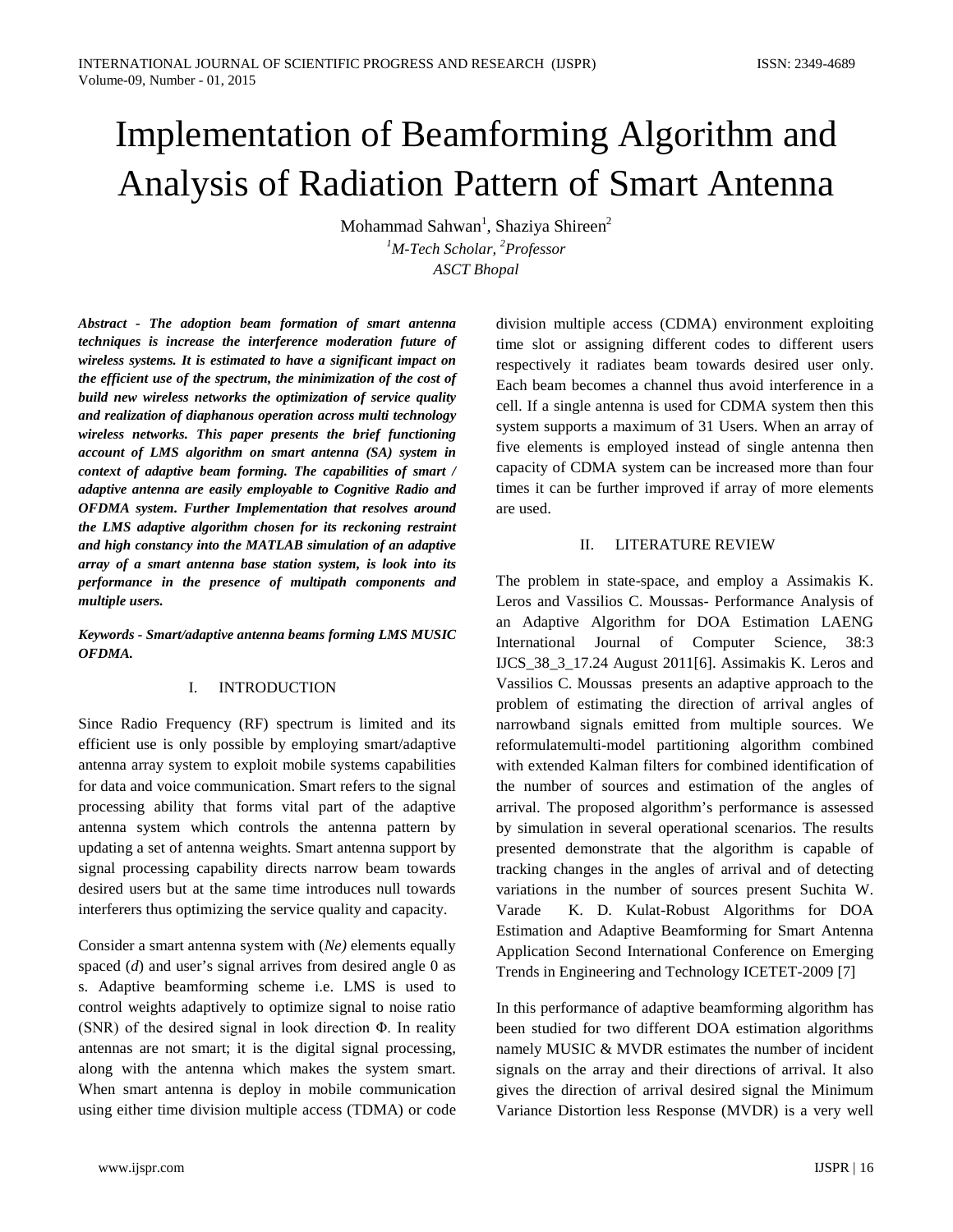# Implementation of Beamforming Algorithm and Analysis of Radiation Pattern of Smart Antenna

Mohammad Sahwan<sup>1</sup>, Shaziya Shireen<sup>2</sup> *1 M-Tech Scholar, <sup>2</sup> Professor ASCT Bhopal*

*Abstract - The adoption beam formation of smart antenna techniques is increase the interference moderation future of wireless systems. It is estimated to have a significant impact on the efficient use of the spectrum, the minimization of the cost of build new wireless networks the optimization of service quality and realization of diaphanous operation across multi technology wireless networks. This paper presents the brief functioning account of LMS algorithm on smart antenna (SA) system in context of adaptive beam forming. The capabilities of smart / adaptive antenna are easily employable to Cognitive Radio and OFDMA system. Further Implementation that resolves around the LMS adaptive algorithm chosen for its reckoning restraint and high constancy into the MATLAB simulation of an adaptive array of a smart antenna base station system, is look into its performance in the presence of multipath components and multiple users.* 

*Keywords - Smart/adaptive antenna beams forming LMS MUSIC OFDMA.*

#### I. INTRODUCTION

Since Radio Frequency (RF) spectrum is limited and its efficient use is only possible by employing smart/adaptive antenna array system to exploit mobile systems capabilities for data and voice communication. Smart refers to the signal processing ability that forms vital part of the adaptive antenna system which controls the antenna pattern by updating a set of antenna weights. Smart antenna support by signal processing capability directs narrow beam towards desired users but at the same time introduces null towards interferers thus optimizing the service quality and capacity.

Consider a smart antenna system with (*Ne)* elements equally spaced (*d*) and user's signal arrives from desired angle 0 as s. Adaptive beamforming scheme i.e. LMS is used to control weights adaptively to optimize signal to noise ratio (SNR) of the desired signal in look direction Φ. In reality antennas are not smart; it is the digital signal processing, along with the antenna which makes the system smart. When smart antenna is deploy in mobile communication using either time division multiple access (TDMA) or code division multiple access (CDMA) environment exploiting time slot or assigning different codes to different users respectively it radiates beam towards desired user only. Each beam becomes a channel thus avoid interference in a cell. If a single antenna is used for CDMA system then this system supports a maximum of 31 Users. When an array of five elements is employed instead of single antenna then capacity of CDMA system can be increased more than four times it can be further improved if array of more elements are used.

## II. LITERATURE REVIEW

The problem in state-space, and employ a Assimakis K. Leros and Vassilios C. Moussas- Performance Analysis of an Adaptive Algorithm for DOA Estimation LAENG International Journal of Computer Science, 38:3 IJCS\_38\_3\_17.24 August 2011[6]. Assimakis K. Leros and Vassilios C. Moussas presents an adaptive approach to the problem of estimating the direction of arrival angles of narrowband signals emitted from multiple sources. We reformulatemulti-model partitioning algorithm combined with extended Kalman filters for combined identification of the number of sources and estimation of the angles of arrival. The proposed algorithm's performance is assessed by simulation in several operational scenarios. The results presented demonstrate that the algorithm is capable of tracking changes in the angles of arrival and of detecting variations in the number of sources present Suchita W. Varade K. D. Kulat-Robust Algorithms for DOA Estimation and Adaptive Beamforming for Smart Antenna Application Second International Conference on Emerging Trends in Engineering and Technology ICETET-2009 [7]

In this performance of adaptive beamforming algorithm has been studied for two different DOA estimation algorithms namely MUSIC & MVDR estimates the number of incident signals on the array and their directions of arrival. It also gives the direction of arrival desired signal the Minimum Variance Distortion less Response (MVDR) is a very well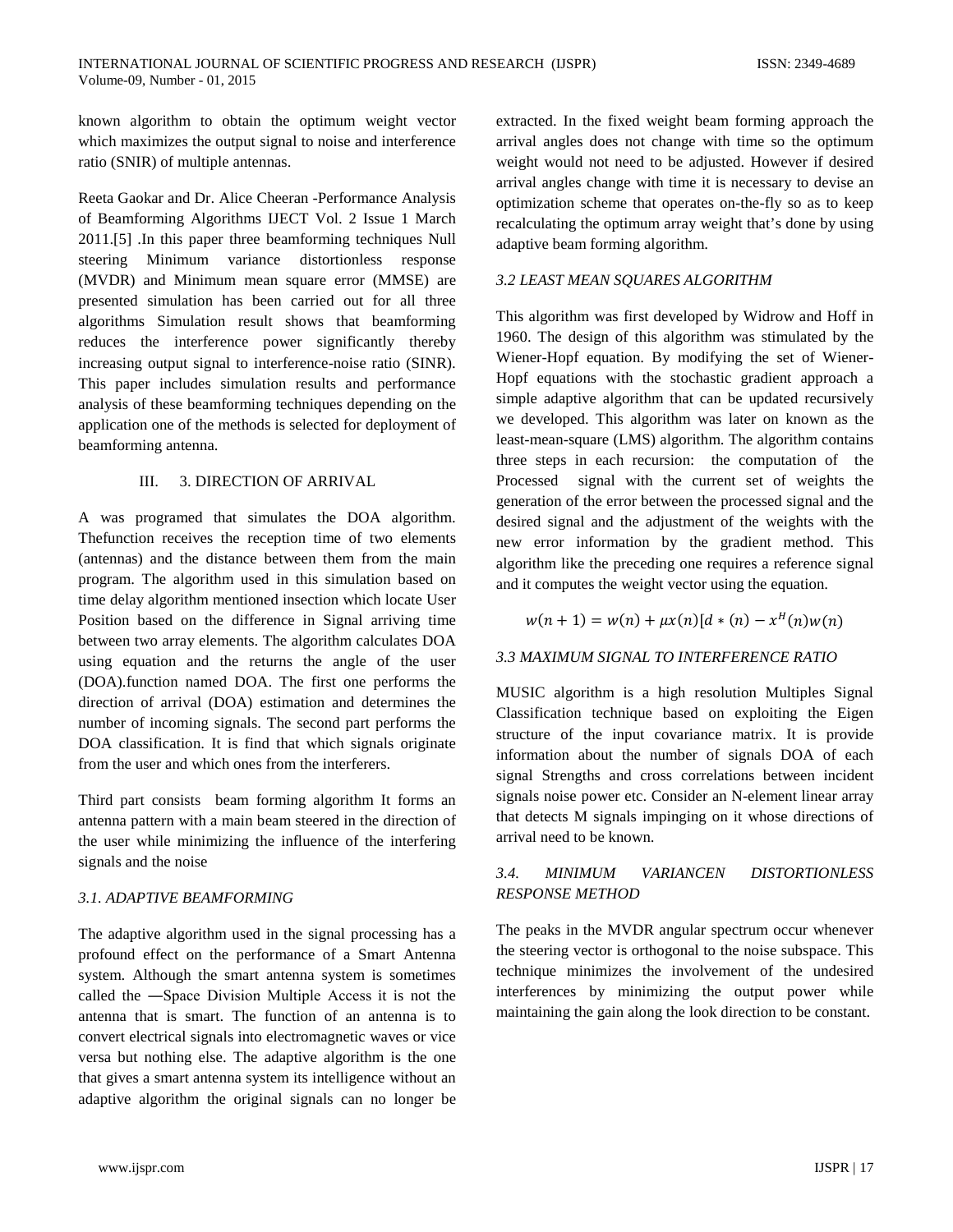known algorithm to obtain the optimum weight vector which maximizes the output signal to noise and interference ratio (SNIR) of multiple antennas.

Reeta Gaokar and Dr. Alice Cheeran -Performance Analysis of Beamforming Algorithms IJECT Vol. 2 Issue 1 March 2011.[5] .In this paper three beamforming techniques Null steering Minimum variance distortionless response (MVDR) and Minimum mean square error (MMSE) are presented simulation has been carried out for all three algorithms Simulation result shows that beamforming reduces the interference power significantly thereby increasing output signal to interference-noise ratio (SINR). This paper includes simulation results and performance analysis of these beamforming techniques depending on the application one of the methods is selected for deployment of beamforming antenna.

## III. 3. DIRECTION OF ARRIVAL

A was programed that simulates the DOA algorithm. Thefunction receives the reception time of two elements (antennas) and the distance between them from the main program. The algorithm used in this simulation based on time delay algorithm mentioned insection which locate User Position based on the difference in Signal arriving time between two array elements. The algorithm calculates DOA using equation and the returns the angle of the user (DOA).function named DOA. The first one performs the direction of arrival (DOA) estimation and determines the number of incoming signals. The second part performs the DOA classification. It is find that which signals originate from the user and which ones from the interferers.

Third part consists beam forming algorithm It forms an antenna pattern with a main beam steered in the direction of the user while minimizing the influence of the interfering signals and the noise

# *3.1. ADAPTIVE BEAMFORMING*

The adaptive algorithm used in the signal processing has a profound effect on the performance of a Smart Antenna system. Although the smart antenna system is sometimes called the ―Space Division Multiple Access it is not the antenna that is smart. The function of an antenna is to convert electrical signals into electromagnetic waves or vice versa but nothing else. The adaptive algorithm is the one that gives a smart antenna system its intelligence without an adaptive algorithm the original signals can no longer be extracted. In the fixed weight beam forming approach the arrival angles does not change with time so the optimum weight would not need to be adjusted. However if desired arrival angles change with time it is necessary to devise an optimization scheme that operates on-the-fly so as to keep recalculating the optimum array weight that's done by using adaptive beam forming algorithm.

# *3.2 LEAST MEAN SQUARES ALGORITHM*

This algorithm was first developed by Widrow and Hoff in 1960. The design of this algorithm was stimulated by the Wiener-Hopf equation. By modifying the set of Wiener-Hopf equations with the stochastic gradient approach a simple adaptive algorithm that can be updated recursively we developed. This algorithm was later on known as the least-mean-square (LMS) algorithm. The algorithm contains three steps in each recursion: the computation of the Processed signal with the current set of weights the generation of the error between the processed signal and the desired signal and the adjustment of the weights with the new error information by the gradient method. This algorithm like the preceding one requires a reference signal and it computes the weight vector using the equation.

 $w(n + 1) = w(n) + \mu x(n)[d * (n) - x^H(n)w(n)]$ 

# *3.3 MAXIMUM SIGNAL TO INTERFERENCE RATIO*

MUSIC algorithm is a high resolution Multiples Signal Classification technique based on exploiting the Eigen structure of the input covariance matrix. It is provide information about the number of signals DOA of each signal Strengths and cross correlations between incident signals noise power etc. Consider an N-element linear array that detects M signals impinging on it whose directions of arrival need to be known.

# *3.4. MINIMUM VARIANCEN DISTORTIONLESS RESPONSE METHOD*

The peaks in the MVDR angular spectrum occur whenever the steering vector is orthogonal to the noise subspace. This technique minimizes the involvement of the undesired interferences by minimizing the output power while maintaining the gain along the look direction to be constant.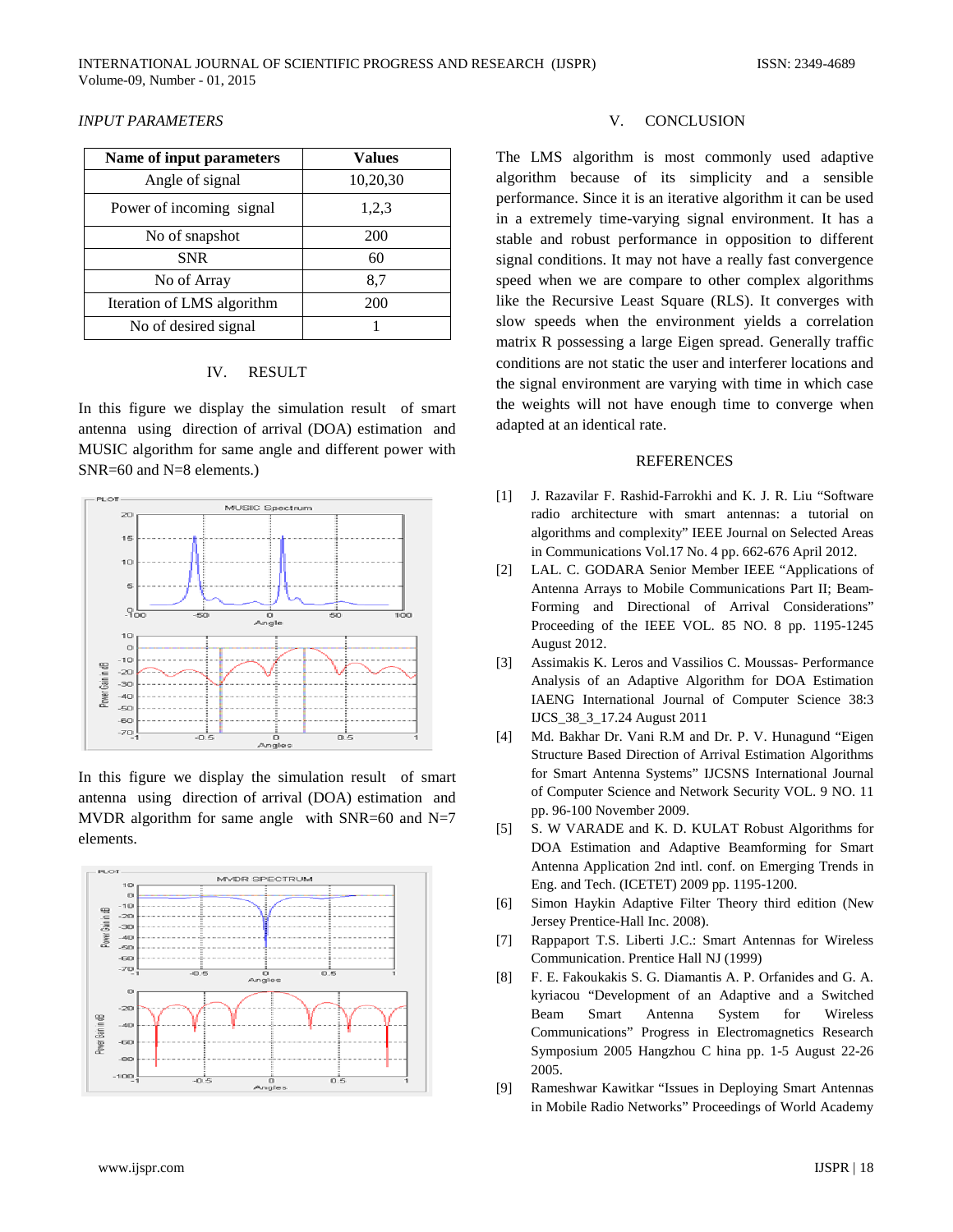## *INPUT PARAMETERS*

| Name of input parameters   | Values   |
|----------------------------|----------|
| Angle of signal            | 10,20,30 |
| Power of incoming signal   | 1,2,3    |
| No of snapshot             | 200      |
| <b>SNR</b>                 | 60       |
| No of Array                | 8.7      |
| Iteration of LMS algorithm | 200      |
| No of desired signal       |          |

#### IV. RESULT

In this figure we display the simulation result of smart antenna using direction of arrival (DOA) estimation and MUSIC algorithm for same angle and different power with SNR=60 and N=8 elements.)



In this figure we display the simulation result of smart antenna using direction of arrival (DOA) estimation and MVDR algorithm for same angle with  $SNR=60$  and  $N=7$ elements.



## V. CONCLUSION

The LMS algorithm is most commonly used adaptive algorithm because of its simplicity and a sensible performance. Since it is an iterative algorithm it can be used in a extremely time-varying signal environment. It has a stable and robust performance in opposition to different signal conditions. It may not have a really fast convergence speed when we are compare to other complex algorithms like the Recursive Least Square (RLS). It converges with slow speeds when the environment yields a correlation matrix R possessing a large Eigen spread. Generally traffic conditions are not static the user and interferer locations and the signal environment are varying with time in which case the weights will not have enough time to converge when adapted at an identical rate.

#### **REFERENCES**

- [1] J. Razavilar F. Rashid-Farrokhi and K. J. R. Liu "Software radio architecture with smart antennas: a tutorial on algorithms and complexity" IEEE Journal on Selected Areas in Communications Vol.17 No. 4 pp. 662-676 April 2012.
- [2] LAL. C. GODARA Senior Member IEEE "Applications of Antenna Arrays to Mobile Communications Part II; Beam-Forming and Directional of Arrival Considerations" Proceeding of the IEEE VOL. 85 NO. 8 pp. 1195-1245 August 2012.
- [3] Assimakis K. Leros and Vassilios C. Moussas- Performance Analysis of an Adaptive Algorithm for DOA Estimation IAENG International Journal of Computer Science 38:3 IJCS\_38\_3\_17.24 August 2011
- [4] Md. Bakhar Dr. Vani R.M and Dr. P. V. Hunagund "Eigen Structure Based Direction of Arrival Estimation Algorithms for Smart Antenna Systems" IJCSNS International Journal of Computer Science and Network Security VOL. 9 NO. 11 pp. 96-100 November 2009.
- [5] S. W VARADE and K. D. KULAT Robust Algorithms for DOA Estimation and Adaptive Beamforming for Smart Antenna Application 2nd intl. conf. on Emerging Trends in Eng. and Tech. (ICETET) 2009 pp. 1195-1200.
- [6] Simon Haykin Adaptive Filter Theory third edition (New Jersey Prentice-Hall Inc. 2008).
- [7] Rappaport T.S. Liberti J.C.: Smart Antennas for Wireless Communication. Prentice Hall NJ (1999)
- [8] F. E. Fakoukakis S. G. Diamantis A. P. Orfanides and G. A. kyriacou "Development of an Adaptive and a Switched Beam Smart Antenna System for Wireless Communications" Progress in Electromagnetics Research Symposium 2005 Hangzhou C hina pp. 1-5 August 22-26 2005.
- [9] Rameshwar Kawitkar "Issues in Deploying Smart Antennas in Mobile Radio Networks" Proceedings of World Academy